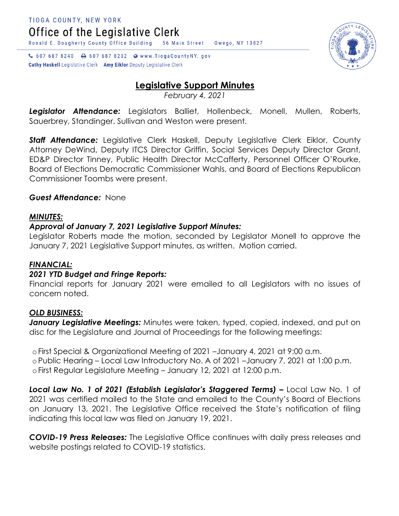↓ 607 687 8240 → 607 687 8232 ● www.TiogaCountyNY.gov **Cathy Haskell** Legislative Clerk Amy Eiklor Deputy Legislative Clerk



# **Legislative Support Minutes**

*February 4, 2021*

*Legislator Attendance:* Legislators Balliet, Hollenbeck, Monell, Mullen, Roberts, Sauerbrey, Standinger, Sullivan and Weston were present.

*Staff Attendance:* Legislative Clerk Haskell, Deputy Legislative Clerk Eiklor, County Attorney DeWind, Deputy ITCS Director Griffin, Social Services Deputy Director Grant, ED&P Director Tinney, Public Health Director McCafferty, Personnel Officer O'Rourke, Board of Elections Democratic Commissioner Wahls, and Board of Elections Republican Commissioner Toombs were present.

*Guest Attendance:* None

### *MINUTES:*

## *Approval of January 7, 2021 Legislative Support Minutes:*

Legislator Roberts made the motion, seconded by Legislator Monell to approve the January 7, 2021 Legislative Support minutes, as written. Motion carried.

# *FINANCIAL:*

# *2021 YTD Budget and Fringe Reports:*

Financial reports for January 2021 were emailed to all Legislators with no issues of concern noted.

# *OLD BUSINESS:*

**January Legislative Meetings:** Minutes were taken, typed, copied, indexed, and put on disc for the Legislature and Journal of Proceedings for the following meetings:

o First Special & Organizational Meeting of 2021 –January 4, 2021 at 9:00 a.m. o Public Hearing – Local Law Introductory No. A of 2021 –January 7, 2021 at 1:00 p.m. o First Regular Legislature Meeting – January 12, 2021 at 12:00 p.m.

*Local Law No. 1 of 2021 (Establish Legislator's Staggered Terms) –* Local Law No. 1 of 2021 was certified mailed to the State and emailed to the County's Board of Elections on January 13, 2021. The Legislative Office received the State's notification of filing indicating this local law was filed on January 19, 2021.

*COVID-19 Press Releases:* The Legislative Office continues with daily press releases and website postings related to COVID-19 statistics.